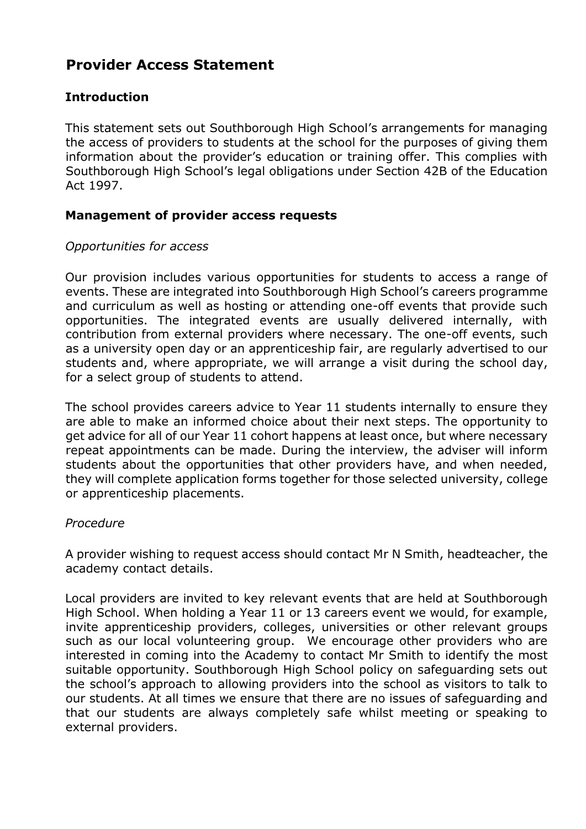# **Provider Access Statement**

# **Introduction**

This statement sets out Southborough High School's arrangements for managing the access of providers to students at the school for the purposes of giving them information about the provider's education or training offer. This complies with Southborough High School's legal obligations under Section 42B of the Education Act 1997.

# **Management of provider access requests**

### *Opportunities for access*

Our provision includes various opportunities for students to access a range of events. These are integrated into Southborough High School's careers programme and curriculum as well as hosting or attending one-off events that provide such opportunities. The integrated events are usually delivered internally, with contribution from external providers where necessary. The one-off events, such as a university open day or an apprenticeship fair, are regularly advertised to our students and, where appropriate, we will arrange a visit during the school day, for a select group of students to attend.

The school provides careers advice to Year 11 students internally to ensure they are able to make an informed choice about their next steps. The opportunity to get advice for all of our Year 11 cohort happens at least once, but where necessary repeat appointments can be made. During the interview, the adviser will inform students about the opportunities that other providers have, and when needed, they will complete application forms together for those selected university, college or apprenticeship placements.

#### *Procedure*

A provider wishing to request access should contact Mr N Smith, headteacher, the academy contact details.

Local providers are invited to key relevant events that are held at Southborough High School. When holding a Year 11 or 13 careers event we would, for example, invite apprenticeship providers, colleges, universities or other relevant groups such as our local volunteering group. We encourage other providers who are interested in coming into the Academy to contact Mr Smith to identify the most suitable opportunity. Southborough High School policy on safeguarding sets out the school's approach to allowing providers into the school as visitors to talk to our students. At all times we ensure that there are no issues of safeguarding and that our students are always completely safe whilst meeting or speaking to external providers.